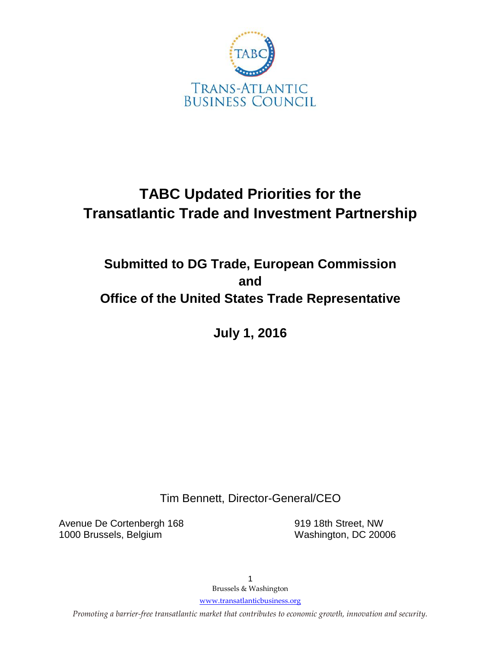

# **TABC Updated Priorities for the Transatlantic Trade and Investment Partnership**

## **Submitted to DG Trade, European Commission and Office of the United States Trade Representative**

**July 1, 2016**

Tim Bennett, Director-General/CEO

Avenue De Cortenbergh 168 919 18th Street, NW 1000 Brussels, Belgium Washington, DC 20006

1 Brussels & Washington

[www.transatlanticbusiness.org](http://www.transatlanticbusiness.org/)

*Promoting a barrier-free transatlantic market that contributes to economic growth, innovation and security.*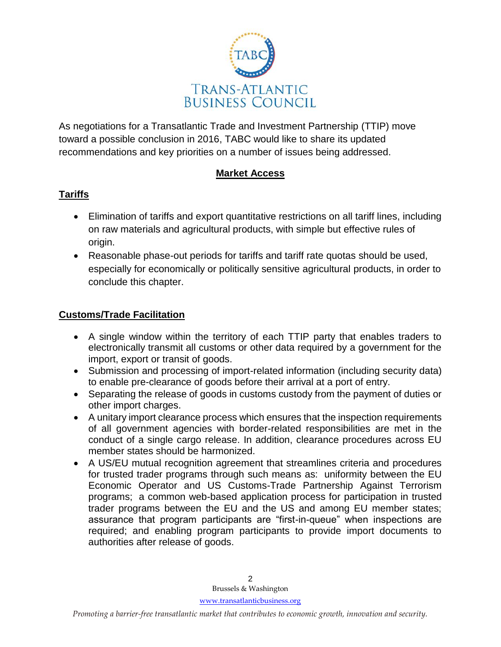

As negotiations for a Transatlantic Trade and Investment Partnership (TTIP) move toward a possible conclusion in 2016, TABC would like to share its updated recommendations and key priorities on a number of issues being addressed.

#### **Market Access**

#### **Tariffs**

- Elimination of tariffs and export quantitative restrictions on all tariff lines, including on raw materials and agricultural products, with simple but effective rules of origin.
- Reasonable phase-out periods for tariffs and tariff rate quotas should be used, especially for economically or politically sensitive agricultural products, in order to conclude this chapter.

#### **Customs/Trade Facilitation**

- A single window within the territory of each TTIP party that enables traders to electronically transmit all customs or other data required by a government for the import, export or transit of goods.
- Submission and processing of import-related information (including security data) to enable pre-clearance of goods before their arrival at a port of entry.
- Separating the release of goods in customs custody from the payment of duties or other import charges.
- A unitary import clearance process which ensures that the inspection requirements of all government agencies with border-related responsibilities are met in the conduct of a single cargo release. In addition, clearance procedures across EU member states should be harmonized.
- A US/EU mutual recognition agreement that streamlines criteria and procedures for trusted trader programs through such means as: uniformity between the EU Economic Operator and US Customs-Trade Partnership Against Terrorism programs; a common web-based application process for participation in trusted trader programs between the EU and the US and among EU member states; assurance that program participants are "first-in-queue" when inspections are required; and enabling program participants to provide import documents to authorities after release of goods.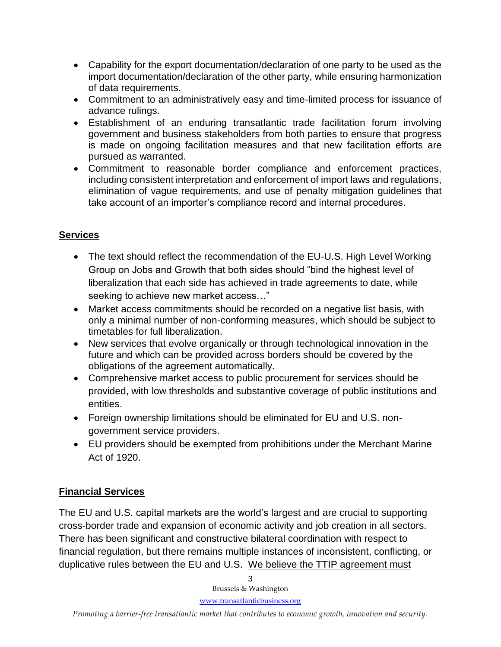- Capability for the export documentation/declaration of one party to be used as the import documentation/declaration of the other party, while ensuring harmonization of data requirements.
- Commitment to an administratively easy and time-limited process for issuance of advance rulings.
- Establishment of an enduring transatlantic trade facilitation forum involving government and business stakeholders from both parties to ensure that progress is made on ongoing facilitation measures and that new facilitation efforts are pursued as warranted.
- Commitment to reasonable border compliance and enforcement practices, including consistent interpretation and enforcement of import laws and regulations, elimination of vague requirements, and use of penalty mitigation guidelines that take account of an importer's compliance record and internal procedures.

## **Services**

- The text should reflect the recommendation of the EU-U.S. High Level Working Group on Jobs and Growth that both sides should "bind the highest level of liberalization that each side has achieved in trade agreements to date, while seeking to achieve new market access…"
- Market access commitments should be recorded on a negative list basis, with only a minimal number of non-conforming measures, which should be subject to timetables for full liberalization.
- New services that evolve organically or through technological innovation in the future and which can be provided across borders should be covered by the obligations of the agreement automatically.
- Comprehensive market access to public procurement for services should be provided, with low thresholds and substantive coverage of public institutions and entities.
- Foreign ownership limitations should be eliminated for EU and U.S. nongovernment service providers.
- EU providers should be exempted from prohibitions under the Merchant Marine Act of 1920.

## **Financial Services**

The EU and U.S. capital markets are the world's largest and are crucial to supporting cross-border trade and expansion of economic activity and job creation in all sectors. There has been significant and constructive bilateral coordination with respect to financial regulation, but there remains multiple instances of inconsistent, conflicting, or duplicative rules between the EU and U.S. We believe the TTIP agreement must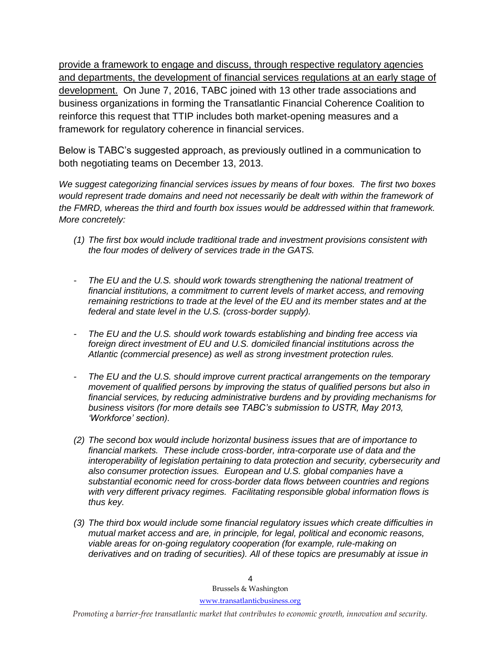provide a framework to engage and discuss, through respective regulatory agencies and departments, the development of financial services regulations at an early stage of development. On June 7, 2016, TABC joined with 13 other trade associations and business organizations in forming the Transatlantic Financial Coherence Coalition to reinforce this request that TTIP includes both market-opening measures and a framework for regulatory coherence in financial services.

Below is TABC's suggested approach, as previously outlined in a communication to both negotiating teams on December 13, 2013.

*We suggest categorizing financial services issues by means of four boxes. The first two boxes would represent trade domains and need not necessarily be dealt with within the framework of the FMRD, whereas the third and fourth box issues would be addressed within that framework. More concretely:*

- *(1) The first box would include traditional trade and investment provisions consistent with the four modes of delivery of services trade in the GATS.*
- *The EU and the U.S. should work towards strengthening the national treatment of financial institutions, a commitment to current levels of market access, and removing remaining restrictions to trade at the level of the EU and its member states and at the federal and state level in the U.S. (cross-border supply).*
- *The EU and the U.S. should work towards establishing and binding free access via foreign direct investment of EU and U.S. domiciled financial institutions across the Atlantic (commercial presence) as well as strong investment protection rules.*
- The EU and the U.S. should improve current practical arrangements on the temporary *movement of qualified persons by improving the status of qualified persons but also in financial services, by reducing administrative burdens and by providing mechanisms for business visitors (for more details see TABC's submission to USTR, May 2013, 'Workforce' section).*
- *(2) The second box would include horizontal business issues that are of importance to financial markets. These include cross-border, intra-corporate use of data and the interoperability of legislation pertaining to data protection and security, cybersecurity and also consumer protection issues. European and U.S. global companies have a substantial economic need for cross-border data flows between countries and regions with very different privacy regimes. Facilitating responsible global information flows is thus key.*
- *(3) The third box would include some financial regulatory issues which create difficulties in mutual market access and are, in principle, for legal, political and economic reasons, viable areas for on-going regulatory cooperation (for example, rule-making on derivatives and on trading of securities). All of these topics are presumably at issue in*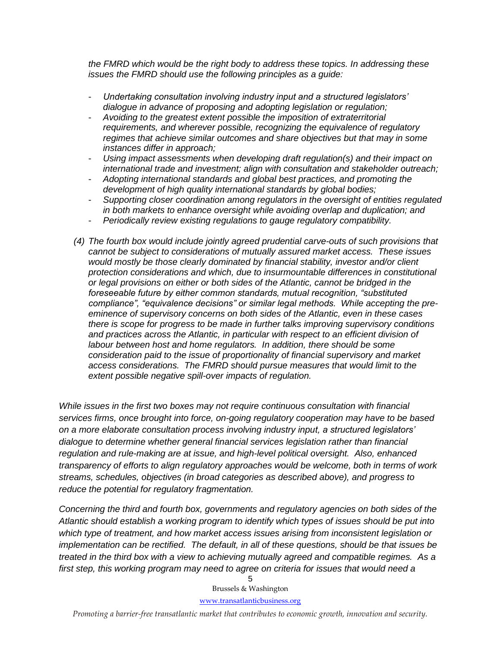*the FMRD which would be the right body to address these topics. In addressing these issues the FMRD should use the following principles as a guide:*

- *Undertaking consultation involving industry input and a structured legislators' dialogue in advance of proposing and adopting legislation or regulation;*
- *Avoiding to the greatest extent possible the imposition of extraterritorial requirements, and wherever possible, recognizing the equivalence of regulatory regimes that achieve similar outcomes and share objectives but that may in some instances differ in approach;*
- *Using impact assessments when developing draft regulation(s) and their impact on international trade and investment; align with consultation and stakeholder outreach;*
- *Adopting international standards and global best practices, and promoting the development of high quality international standards by global bodies;*
- *Supporting closer coordination among regulators in the oversight of entities regulated in both markets to enhance oversight while avoiding overlap and duplication; and*
- *Periodically review existing regulations to gauge regulatory compatibility.*
- *(4) The fourth box would include jointly agreed prudential carve-outs of such provisions that cannot be subject to considerations of mutually assured market access. These issues would mostly be those clearly dominated by financial stability, investor and/or client protection considerations and which, due to insurmountable differences in constitutional or legal provisions on either or both sides of the Atlantic, cannot be bridged in the foreseeable future by either common standards, mutual recognition, "substituted compliance", "equivalence decisions" or similar legal methods. While accepting the preeminence of supervisory concerns on both sides of the Atlantic, even in these cases there is scope for progress to be made in further talks improving supervisory conditions and practices across the Atlantic, in particular with respect to an efficient division of labour between host and home regulators. In addition, there should be some consideration paid to the issue of proportionality of financial supervisory and market access considerations. The FMRD should pursue measures that would limit to the extent possible negative spill-over impacts of regulation.*

*While issues in the first two boxes may not require continuous consultation with financial services firms, once brought into force, on-going regulatory cooperation may have to be based on a more elaborate consultation process involving industry input, a structured legislators' dialogue to determine whether general financial services legislation rather than financial regulation and rule-making are at issue, and high-level political oversight. Also, enhanced transparency of efforts to align regulatory approaches would be welcome, both in terms of work streams, schedules, objectives (in broad categories as described above), and progress to reduce the potential for regulatory fragmentation.* 

*Concerning the third and fourth box, governments and regulatory agencies on both sides of the Atlantic should establish a working program to identify which types of issues should be put into which type of treatment, and how market access issues arising from inconsistent legislation or implementation can be rectified. The default, in all of these questions, should be that issues be treated in the third box with a view to achieving mutually agreed and compatible regimes. As a first step, this working program may need to agree on criteria for issues that would need a* 

> Brussels & Washington [www.transatlanticbusiness.org](http://www.transatlanticbusiness.org/)

5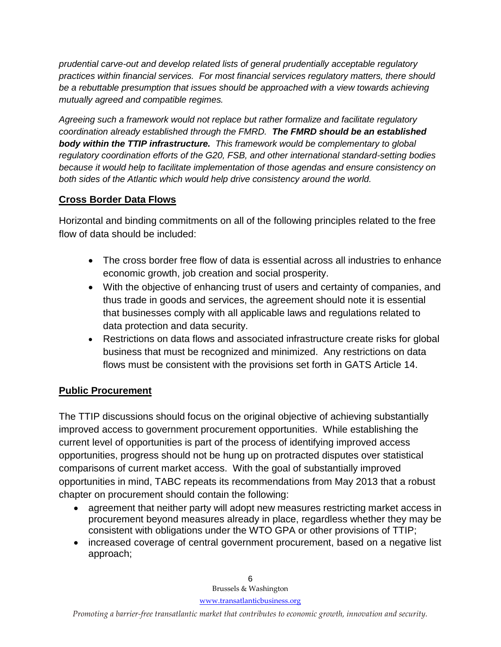*prudential carve-out and develop related lists of general prudentially acceptable regulatory practices within financial services. For most financial services regulatory matters, there should be a rebuttable presumption that issues should be approached with a view towards achieving mutually agreed and compatible regimes.* 

*Agreeing such a framework would not replace but rather formalize and facilitate regulatory coordination already established through the FMRD. The FMRD should be an established body within the TTIP infrastructure. This framework would be complementary to global regulatory coordination efforts of the G20, FSB, and other international standard-setting bodies because it would help to facilitate implementation of those agendas and ensure consistency on both sides of the Atlantic which would help drive consistency around the world.*

#### **Cross Border Data Flows**

Horizontal and binding commitments on all of the following principles related to the free flow of data should be included:

- The cross border free flow of data is essential across all industries to enhance economic growth, job creation and social prosperity.
- With the objective of enhancing trust of users and certainty of companies, and thus trade in goods and services, the agreement should note it is essential that businesses comply with all applicable laws and regulations related to data protection and data security.
- Restrictions on data flows and associated infrastructure create risks for global business that must be recognized and minimized. Any restrictions on data flows must be consistent with the provisions set forth in GATS Article 14.

#### **Public Procurement**

The TTIP discussions should focus on the original objective of achieving substantially improved access to government procurement opportunities. While establishing the current level of opportunities is part of the process of identifying improved access opportunities, progress should not be hung up on protracted disputes over statistical comparisons of current market access. With the goal of substantially improved opportunities in mind, TABC repeats its recommendations from May 2013 that a robust chapter on procurement should contain the following:

- agreement that neither party will adopt new measures restricting market access in procurement beyond measures already in place, regardless whether they may be consistent with obligations under the WTO GPA or other provisions of TTIP;
- increased coverage of central government procurement, based on a negative list approach;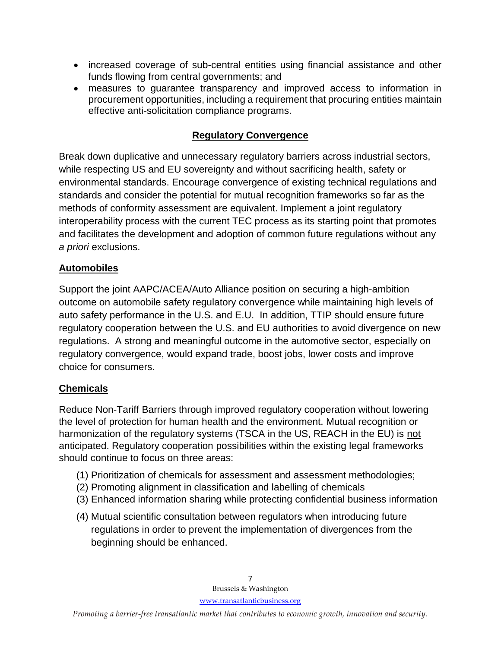- increased coverage of sub-central entities using financial assistance and other funds flowing from central governments; and
- measures to guarantee transparency and improved access to information in procurement opportunities, including a requirement that procuring entities maintain effective anti-solicitation compliance programs.

#### **Regulatory Convergence**

Break down duplicative and unnecessary regulatory barriers across industrial sectors, while respecting US and EU sovereignty and without sacrificing health, safety or environmental standards. Encourage convergence of existing technical regulations and standards and consider the potential for mutual recognition frameworks so far as the methods of conformity assessment are equivalent. Implement a joint regulatory interoperability process with the current TEC process as its starting point that promotes and facilitates the development and adoption of common future regulations without any *a priori* exclusions.

#### **Automobiles**

Support the joint AAPC/ACEA/Auto Alliance position on securing a high-ambition outcome on automobile safety regulatory convergence while maintaining high levels of auto safety performance in the U.S. and E.U. In addition, TTIP should ensure future regulatory cooperation between the U.S. and EU authorities to avoid divergence on new regulations. A strong and meaningful outcome in the automotive sector, especially on regulatory convergence, would expand trade, boost jobs, lower costs and improve choice for consumers.

#### **Chemicals**

Reduce Non-Tariff Barriers through improved regulatory cooperation without lowering the level of protection for human health and the environment. Mutual recognition or harmonization of the regulatory systems (TSCA in the US, REACH in the EU) is not anticipated. Regulatory cooperation possibilities within the existing legal frameworks should continue to focus on three areas:

- (1) Prioritization of chemicals for assessment and assessment methodologies;
- (2) Promoting alignment in classification and labelling of chemicals
- (3) Enhanced information sharing while protecting confidential business information
- (4) Mutual scientific consultation between regulators when introducing future regulations in order to prevent the implementation of divergences from the beginning should be enhanced.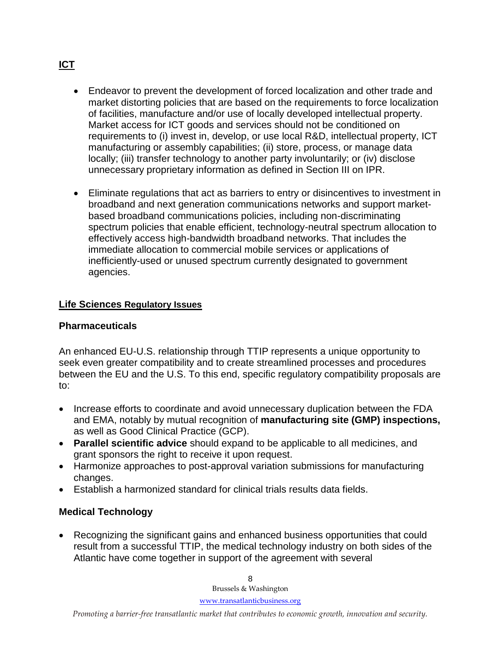- Endeavor to prevent the development of forced localization and other trade and market distorting policies that are based on the requirements to force localization of facilities, manufacture and/or use of locally developed intellectual property. Market access for ICT goods and services should not be conditioned on requirements to (i) invest in, develop, or use local R&D, intellectual property, ICT manufacturing or assembly capabilities; (ii) store, process, or manage data locally; (iii) transfer technology to another party involuntarily; or (iv) disclose unnecessary proprietary information as defined in Section III on IPR.
- Eliminate regulations that act as barriers to entry or disincentives to investment in broadband and next generation communications networks and support marketbased broadband communications policies, including non-discriminating spectrum policies that enable efficient, technology-neutral spectrum allocation to effectively access high-bandwidth broadband networks. That includes the immediate allocation to commercial mobile services or applications of inefficiently-used or unused spectrum currently designated to government agencies.

#### **Life Sciences Regulatory Issues**

#### **Pharmaceuticals**

An enhanced EU-U.S. relationship through TTIP represents a unique opportunity to seek even greater compatibility and to create streamlined processes and procedures between the EU and the U.S. To this end, specific regulatory compatibility proposals are to:

- Increase efforts to coordinate and avoid unnecessary duplication between the FDA and EMA, notably by mutual recognition of **manufacturing site (GMP) inspections,**  as well as Good Clinical Practice (GCP).
- **Parallel scientific advice** should expand to be applicable to all medicines, and grant sponsors the right to receive it upon request.
- Harmonize approaches to post-approval variation submissions for manufacturing changes.
- Establish a harmonized standard for clinical trials results data fields.

#### **Medical Technology**

 Recognizing the significant gains and enhanced business opportunities that could result from a successful TTIP, the medical technology industry on both sides of the Atlantic have come together in support of the agreement with several

## **ICT**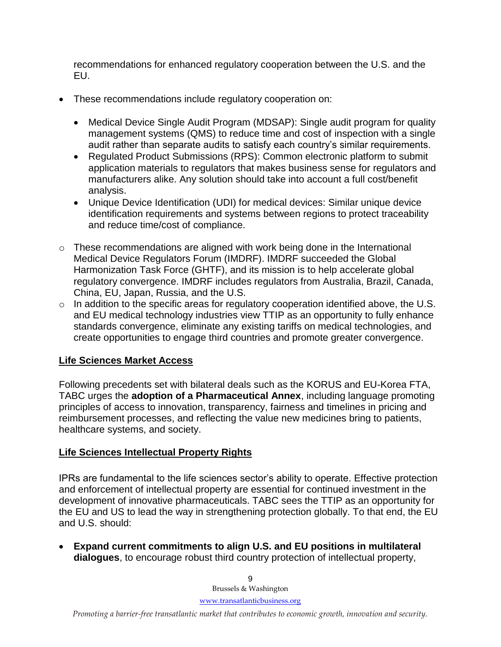recommendations for enhanced regulatory cooperation between the U.S. and the EU.

- These recommendations include regulatory cooperation on:
	- Medical Device Single Audit Program (MDSAP): Single audit program for quality management systems (QMS) to reduce time and cost of inspection with a single audit rather than separate audits to satisfy each country's similar requirements.
	- Regulated Product Submissions (RPS): Common electronic platform to submit application materials to regulators that makes business sense for regulators and manufacturers alike. Any solution should take into account a full cost/benefit analysis.
	- Unique Device Identification (UDI) for medical devices: Similar unique device identification requirements and systems between regions to protect traceability and reduce time/cost of compliance.
- $\circ$  These recommendations are aligned with work being done in the International Medical Device Regulators Forum (IMDRF). IMDRF succeeded the Global Harmonization Task Force (GHTF), and its mission is to help accelerate global regulatory convergence. IMDRF includes regulators from Australia, Brazil, Canada, China, EU, Japan, Russia, and the U.S.
- o In addition to the specific areas for regulatory cooperation identified above, the U.S. and EU medical technology industries view TTIP as an opportunity to fully enhance standards convergence, eliminate any existing tariffs on medical technologies, and create opportunities to engage third countries and promote greater convergence.

#### **Life Sciences Market Access**

Following precedents set with bilateral deals such as the KORUS and EU-Korea FTA, TABC urges the **adoption of a Pharmaceutical Annex**, including language promoting principles of access to innovation, transparency, fairness and timelines in pricing and reimbursement processes, and reflecting the value new medicines bring to patients, healthcare systems, and society.

#### **Life Sciences Intellectual Property Rights**

IPRs are fundamental to the life sciences sector's ability to operate. Effective protection and enforcement of intellectual property are essential for continued investment in the development of innovative pharmaceuticals. TABC sees the TTIP as an opportunity for the EU and US to lead the way in strengthening protection globally. To that end, the EU and U.S. should:

 **Expand current commitments to align U.S. and EU positions in multilateral dialogues**, to encourage robust third country protection of intellectual property,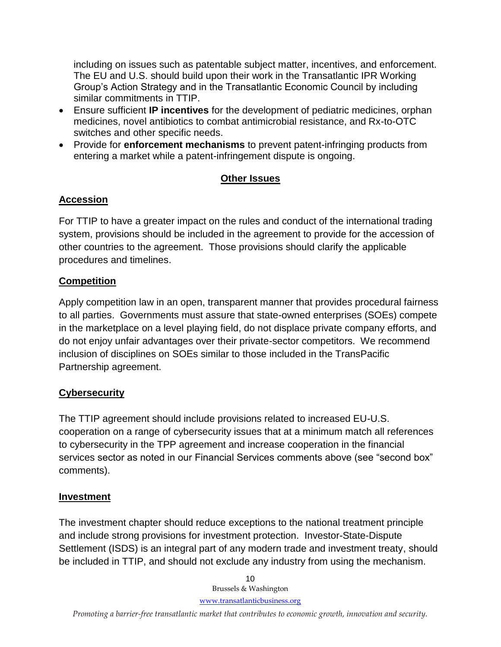including on issues such as patentable subject matter, incentives, and enforcement. The EU and U.S. should build upon their work in the Transatlantic IPR Working Group's Action Strategy and in the Transatlantic Economic Council by including similar commitments in TTIP.

- Ensure sufficient **IP incentives** for the development of pediatric medicines, orphan medicines, novel antibiotics to combat antimicrobial resistance, and Rx-to-OTC switches and other specific needs.
- Provide for **enforcement mechanisms** to prevent patent-infringing products from entering a market while a patent-infringement dispute is ongoing.

## **Other Issues**

## **Accession**

For TTIP to have a greater impact on the rules and conduct of the international trading system, provisions should be included in the agreement to provide for the accession of other countries to the agreement. Those provisions should clarify the applicable procedures and timelines.

## **Competition**

Apply competition law in an open, transparent manner that provides procedural fairness to all parties. Governments must assure that state-owned enterprises (SOEs) compete in the marketplace on a level playing field, do not displace private company efforts, and do not enjoy unfair advantages over their private-sector competitors. We recommend inclusion of disciplines on SOEs similar to those included in the TransPacific Partnership agreement.

## **Cybersecurity**

The TTIP agreement should include provisions related to increased EU-U.S. cooperation on a range of cybersecurity issues that at a minimum match all references to cybersecurity in the TPP agreement and increase cooperation in the financial services sector as noted in our Financial Services comments above (see "second box" comments).

#### **Investment**

The investment chapter should reduce exceptions to the national treatment principle and include strong provisions for investment protection. Investor-State-Dispute Settlement (ISDS) is an integral part of any modern trade and investment treaty, should be included in TTIP, and should not exclude any industry from using the mechanism.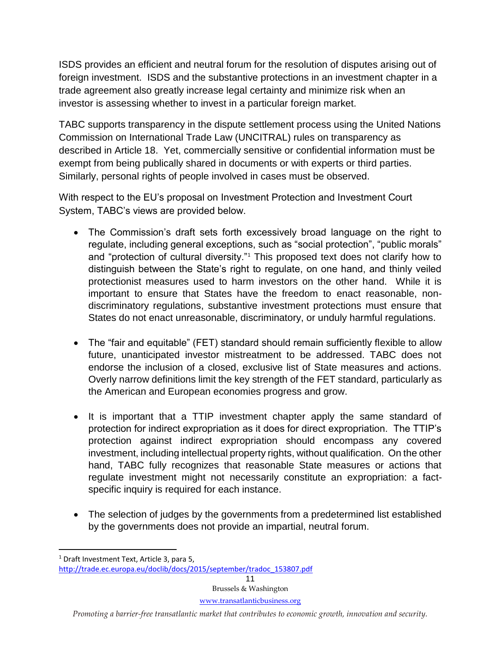ISDS provides an efficient and neutral forum for the resolution of disputes arising out of foreign investment. ISDS and the substantive protections in an investment chapter in a trade agreement also greatly increase legal certainty and minimize risk when an investor is assessing whether to invest in a particular foreign market.

TABC supports transparency in the dispute settlement process using the United Nations Commission on International Trade Law (UNCITRAL) rules on transparency as described in Article 18. Yet, commercially sensitive or confidential information must be exempt from being publically shared in documents or with experts or third parties. Similarly, personal rights of people involved in cases must be observed.

With respect to the EU's proposal on Investment Protection and Investment Court System, TABC's views are provided below.

- The Commission's draft sets forth excessively broad language on the right to regulate, including general exceptions, such as "social protection", "public morals" and "protection of cultural diversity."<sup>1</sup> This proposed text does not clarify how to distinguish between the State's right to regulate, on one hand, and thinly veiled protectionist measures used to harm investors on the other hand. While it is important to ensure that States have the freedom to enact reasonable, nondiscriminatory regulations, substantive investment protections must ensure that States do not enact unreasonable, discriminatory, or unduly harmful regulations.
- The "fair and equitable" (FET) standard should remain sufficiently flexible to allow future, unanticipated investor mistreatment to be addressed. TABC does not endorse the inclusion of a closed, exclusive list of State measures and actions. Overly narrow definitions limit the key strength of the FET standard, particularly as the American and European economies progress and grow.
- It is important that a TTIP investment chapter apply the same standard of protection for indirect expropriation as it does for direct expropriation. The TTIP's protection against indirect expropriation should encompass any covered investment, including intellectual property rights, without qualification. On the other hand, TABC fully recognizes that reasonable State measures or actions that regulate investment might not necessarily constitute an expropriation: a factspecific inquiry is required for each instance.
- The selection of judges by the governments from a predetermined list established by the governments does not provide an impartial, neutral forum.

 $\overline{\phantom{a}}$ 

<sup>&</sup>lt;sup>1</sup> Draft Investment Text, Article 3, para 5,

[http://trade.ec.europa.eu/doclib/docs/2015/september/tradoc\\_153807.pdf](http://trade.ec.europa.eu/doclib/docs/2015/september/tradoc_153807.pdf)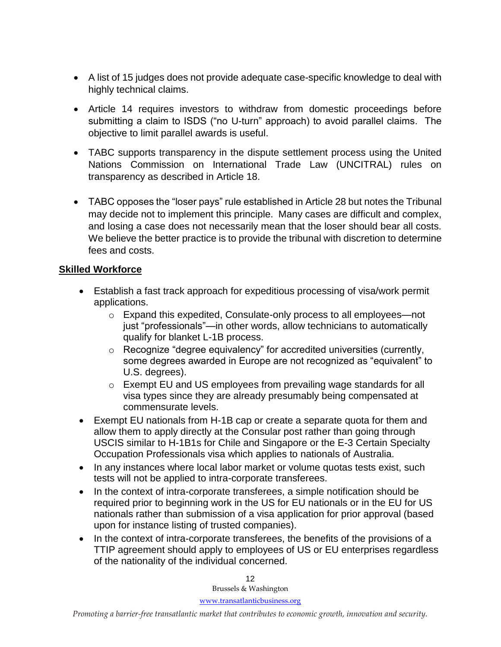- A list of 15 judges does not provide adequate case-specific knowledge to deal with highly technical claims.
- Article 14 requires investors to withdraw from domestic proceedings before submitting a claim to ISDS ("no U-turn" approach) to avoid parallel claims. The objective to limit parallel awards is useful.
- TABC supports transparency in the dispute settlement process using the United Nations Commission on International Trade Law (UNCITRAL) rules on transparency as described in Article 18.
- TABC opposes the "loser pays" rule established in Article 28 but notes the Tribunal may decide not to implement this principle. Many cases are difficult and complex, and losing a case does not necessarily mean that the loser should bear all costs. We believe the better practice is to provide the tribunal with discretion to determine fees and costs.

#### **Skilled Workforce**

- Establish a fast track approach for expeditious processing of visa/work permit applications.
	- o Expand this expedited, Consulate-only process to all employees—not just "professionals"—in other words, allow technicians to automatically qualify for blanket L-1B process.
	- o Recognize "degree equivalency" for accredited universities (currently, some degrees awarded in Europe are not recognized as "equivalent" to U.S. degrees).
	- o Exempt EU and US employees from prevailing wage standards for all visa types since they are already presumably being compensated at commensurate levels.
- Exempt EU nationals from H-1B cap or create a separate quota for them and allow them to apply directly at the Consular post rather than going through USCIS similar to H-1B1s for Chile and Singapore or the E-3 Certain Specialty Occupation Professionals visa which applies to nationals of Australia.
- In any instances where local labor market or volume quotas tests exist, such tests will not be applied to intra-corporate transferees.
- In the context of intra-corporate transferees, a simple notification should be required prior to beginning work in the US for EU nationals or in the EU for US nationals rather than submission of a visa application for prior approval (based upon for instance listing of trusted companies).
- In the context of intra-corporate transferees, the benefits of the provisions of a TTIP agreement should apply to employees of US or EU enterprises regardless of the nationality of the individual concerned.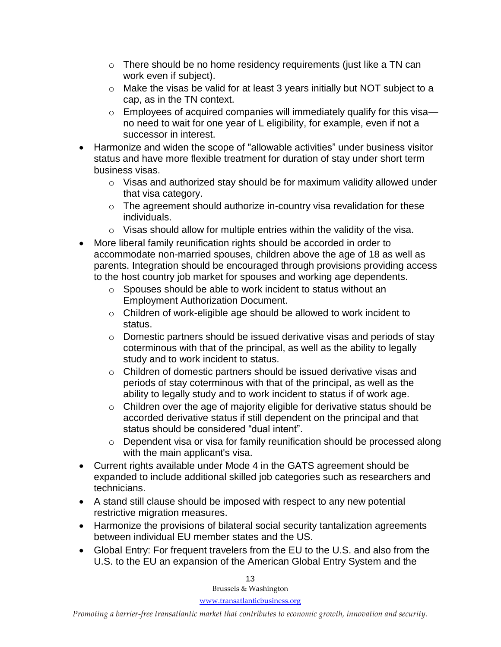- $\circ$  There should be no home residency requirements (just like a TN can work even if subject).
- o Make the visas be valid for at least 3 years initially but NOT subject to a cap, as in the TN context.
- $\circ$  Employees of acquired companies will immediately qualify for this visano need to wait for one year of L eligibility, for example, even if not a successor in interest.
- Harmonize and widen the scope of "allowable activities" under business visitor status and have more flexible treatment for duration of stay under short term business visas.
	- o Visas and authorized stay should be for maximum validity allowed under that visa category.
	- $\circ$  The agreement should authorize in-country visa revalidation for these individuals.
	- $\circ$  Visas should allow for multiple entries within the validity of the visa.
- More liberal family reunification rights should be accorded in order to accommodate non-married spouses, children above the age of 18 as well as parents. Integration should be encouraged through provisions providing access to the host country job market for spouses and working age dependents.
	- o Spouses should be able to work incident to status without an Employment Authorization Document.
	- o Children of work-eligible age should be allowed to work incident to status.
	- o Domestic partners should be issued derivative visas and periods of stay coterminous with that of the principal, as well as the ability to legally study and to work incident to status.
	- $\circ$  Children of domestic partners should be issued derivative visas and periods of stay coterminous with that of the principal, as well as the ability to legally study and to work incident to status if of work age.
	- o Children over the age of majority eligible for derivative status should be accorded derivative status if still dependent on the principal and that status should be considered "dual intent".
	- o Dependent visa or visa for family reunification should be processed along with the main applicant's visa.
- Current rights available under Mode 4 in the GATS agreement should be expanded to include additional skilled job categories such as researchers and technicians.
- A stand still clause should be imposed with respect to any new potential restrictive migration measures.
- Harmonize the provisions of bilateral social security tantalization agreements between individual EU member states and the US.
- Global Entry: For frequent travelers from the EU to the U.S. and also from the U.S. to the EU an expansion of the American Global Entry System and the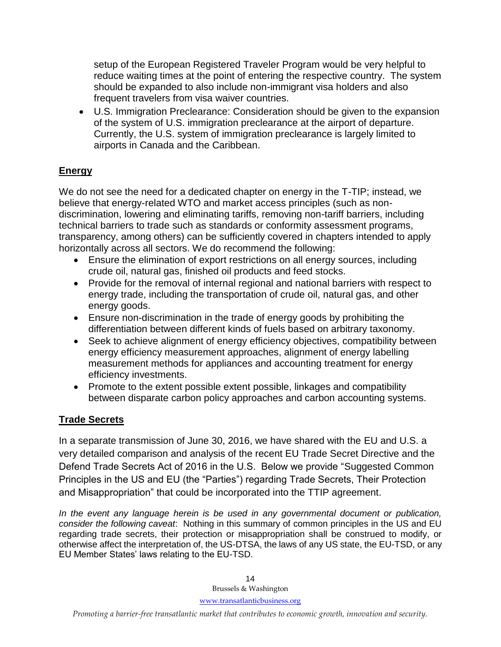setup of the European Registered Traveler Program would be very helpful to reduce waiting times at the point of entering the respective country. The system should be expanded to also include non-immigrant visa holders and also frequent travelers from visa waiver countries.

 U.S. Immigration Preclearance: Consideration should be given to the expansion of the system of U.S. immigration preclearance at the airport of departure. Currently, the U.S. system of immigration preclearance is largely limited to airports in Canada and the Caribbean.

## **Energy**

We do not see the need for a dedicated chapter on energy in the T-TIP; instead, we believe that energy-related WTO and market access principles (such as nondiscrimination, lowering and eliminating tariffs, removing non-tariff barriers, including technical barriers to trade such as standards or conformity assessment programs, transparency, among others) can be sufficiently covered in chapters intended to apply horizontally across all sectors. We do recommend the following:

- Ensure the elimination of export restrictions on all energy sources, including crude oil, natural gas, finished oil products and feed stocks.
- Provide for the removal of internal regional and national barriers with respect to energy trade, including the transportation of crude oil, natural gas, and other energy goods.
- Ensure non-discrimination in the trade of energy goods by prohibiting the differentiation between different kinds of fuels based on arbitrary taxonomy.
- Seek to achieve alignment of energy efficiency objectives, compatibility between energy efficiency measurement approaches, alignment of energy labelling measurement methods for appliances and accounting treatment for energy efficiency investments.
- Promote to the extent possible extent possible, linkages and compatibility between disparate carbon policy approaches and carbon accounting systems.

## **Trade Secrets**

In a separate transmission of June 30, 2016, we have shared with the EU and U.S. a very detailed comparison and analysis of the recent EU Trade Secret Directive and the Defend Trade Secrets Act of 2016 in the U.S. Below we provide "Suggested Common Principles in the US and EU (the "Parties") regarding Trade Secrets, Their Protection and Misappropriation" that could be incorporated into the TTIP agreement.

*In the event any language herein is be used in any governmental document or publication, consider the following caveat*: Nothing in this summary of common principles in the US and EU regarding trade secrets, their protection or misappropriation shall be construed to modify, or otherwise affect the interpretation of, the US-DTSA, the laws of any US state, the EU-TSD, or any EU Member States' laws relating to the EU-TSD.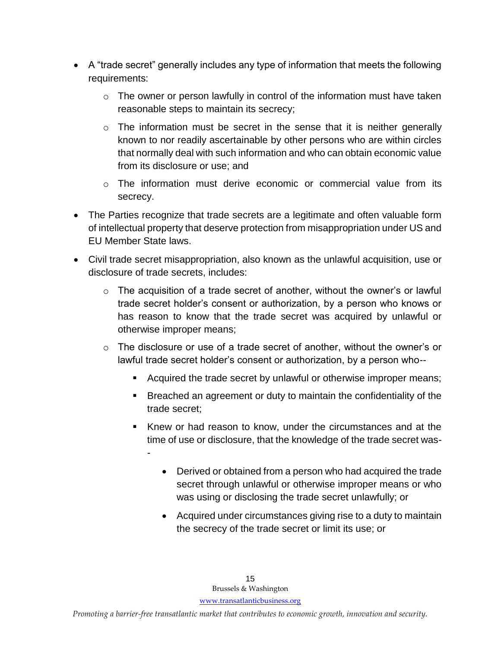- A "trade secret" generally includes any type of information that meets the following requirements:
	- $\circ$  The owner or person lawfully in control of the information must have taken reasonable steps to maintain its secrecy;
	- $\circ$  The information must be secret in the sense that it is neither generally known to nor readily ascertainable by other persons who are within circles that normally deal with such information and who can obtain economic value from its disclosure or use; and
	- $\circ$  The information must derive economic or commercial value from its secrecy.
- The Parties recognize that trade secrets are a legitimate and often valuable form of intellectual property that deserve protection from misappropriation under US and EU Member State laws.
- Civil trade secret misappropriation, also known as the unlawful acquisition, use or disclosure of trade secrets, includes:
	- $\circ$  The acquisition of a trade secret of another, without the owner's or lawful trade secret holder's consent or authorization, by a person who knows or has reason to know that the trade secret was acquired by unlawful or otherwise improper means;
	- $\circ$  The disclosure or use of a trade secret of another, without the owner's or lawful trade secret holder's consent or authorization, by a person who--
		- **EXEC** Acquired the trade secret by unlawful or otherwise improper means;
		- Breached an agreement or duty to maintain the confidentiality of the trade secret;
		- Knew or had reason to know, under the circumstances and at the time of use or disclosure, that the knowledge of the trade secret was-
			- Derived or obtained from a person who had acquired the trade secret through unlawful or otherwise improper means or who was using or disclosing the trade secret unlawfully; or
			- Acquired under circumstances giving rise to a duty to maintain the secrecy of the trade secret or limit its use; or

-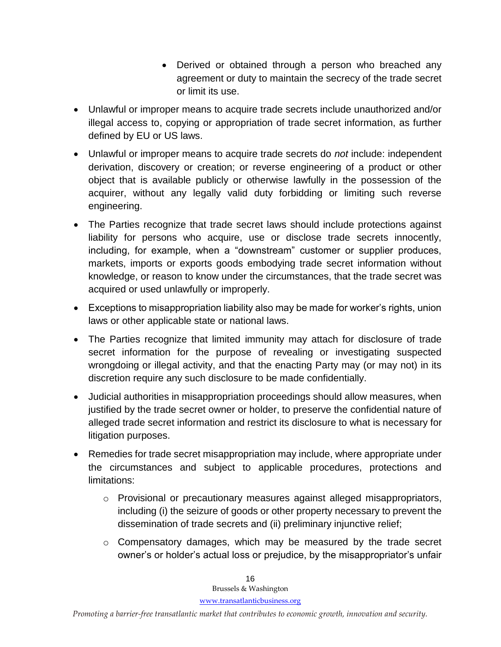- Derived or obtained through a person who breached any agreement or duty to maintain the secrecy of the trade secret or limit its use.
- Unlawful or improper means to acquire trade secrets include unauthorized and/or illegal access to, copying or appropriation of trade secret information, as further defined by EU or US laws.
- Unlawful or improper means to acquire trade secrets do *not* include: independent derivation, discovery or creation; or reverse engineering of a product or other object that is available publicly or otherwise lawfully in the possession of the acquirer, without any legally valid duty forbidding or limiting such reverse engineering.
- The Parties recognize that trade secret laws should include protections against liability for persons who acquire, use or disclose trade secrets innocently, including, for example, when a "downstream" customer or supplier produces, markets, imports or exports goods embodying trade secret information without knowledge, or reason to know under the circumstances, that the trade secret was acquired or used unlawfully or improperly.
- Exceptions to misappropriation liability also may be made for worker's rights, union laws or other applicable state or national laws.
- The Parties recognize that limited immunity may attach for disclosure of trade secret information for the purpose of revealing or investigating suspected wrongdoing or illegal activity, and that the enacting Party may (or may not) in its discretion require any such disclosure to be made confidentially.
- Judicial authorities in misappropriation proceedings should allow measures, when justified by the trade secret owner or holder, to preserve the confidential nature of alleged trade secret information and restrict its disclosure to what is necessary for litigation purposes.
- Remedies for trade secret misappropriation may include, where appropriate under the circumstances and subject to applicable procedures, protections and limitations:
	- o Provisional or precautionary measures against alleged misappropriators, including (i) the seizure of goods or other property necessary to prevent the dissemination of trade secrets and (ii) preliminary injunctive relief;
	- o Compensatory damages, which may be measured by the trade secret owner's or holder's actual loss or prejudice, by the misappropriator's unfair